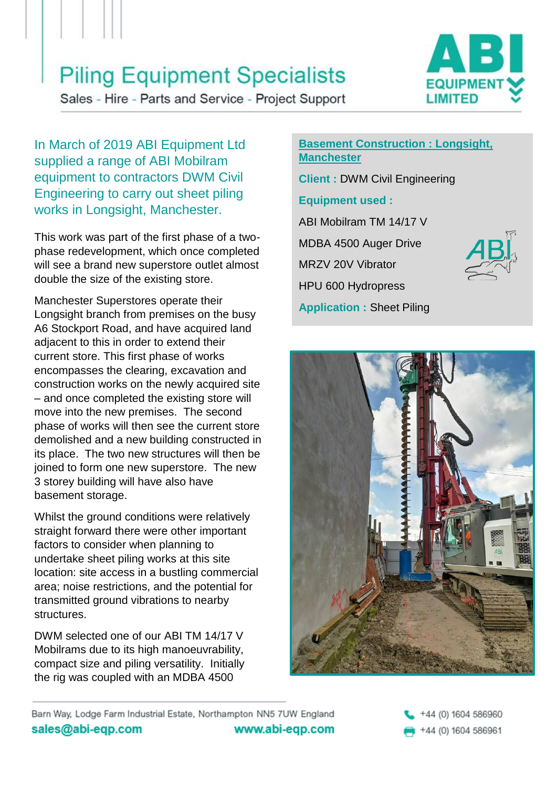# **Piling Equipment Specialists**

Sales - Hire - Parts and Service - Project Support



In March of 2019 ABI Equipment Ltd supplied a range of ABI Mobilram equipment to contractors DWM Civil Engineering to carry out sheet piling works in Longsight, Manchester.

This work was part of the first phase of a twophase redevelopment, which once completed will see a brand new superstore outlet almost double the size of the existing store.

Manchester Superstores operate their Longsight branch from premises on the busy A6 Stockport Road, and have acquired land adjacent to this in order to extend their current store. This first phase of works encompasses the clearing, excavation and construction works on the newly acquired site – and once completed the existing store will move into the new premises. The second phase of works will then see the current store demolished and a new building constructed in its place. The two new structures will then be joined to form one new superstore. The new 3 storey building will have also have basement storage.

Whilst the ground conditions were relatively straight forward there were other important factors to consider when planning to undertake sheet piling works at this site location: site access in a bustling commercial area; noise restrictions, and the potential for transmitted ground vibrations to nearby structures.

DWM selected one of our ABI TM 14/17 V Mobilrams due to its high manoeuvrability, compact size and piling versatility. Initially the rig was coupled with an MDBA 4500

### **Basement Construction : Longsight, Manchester**

**Client :** DWM Civil Engineering

## **Equipment used :**

ABI Mobilram TM 14/17 V MDBA 4500 Auger Drive MRZV 20V Vibrator HPU 600 Hydropress **Application :** Sheet Piling





Barn Way, Lodge Farm Industrial Estate, Northampton NN5 7UW England sales@abi-eqp.com www.abi-eqp.com

+44 (0) 1604 586960 +44 (0) 1604 586961